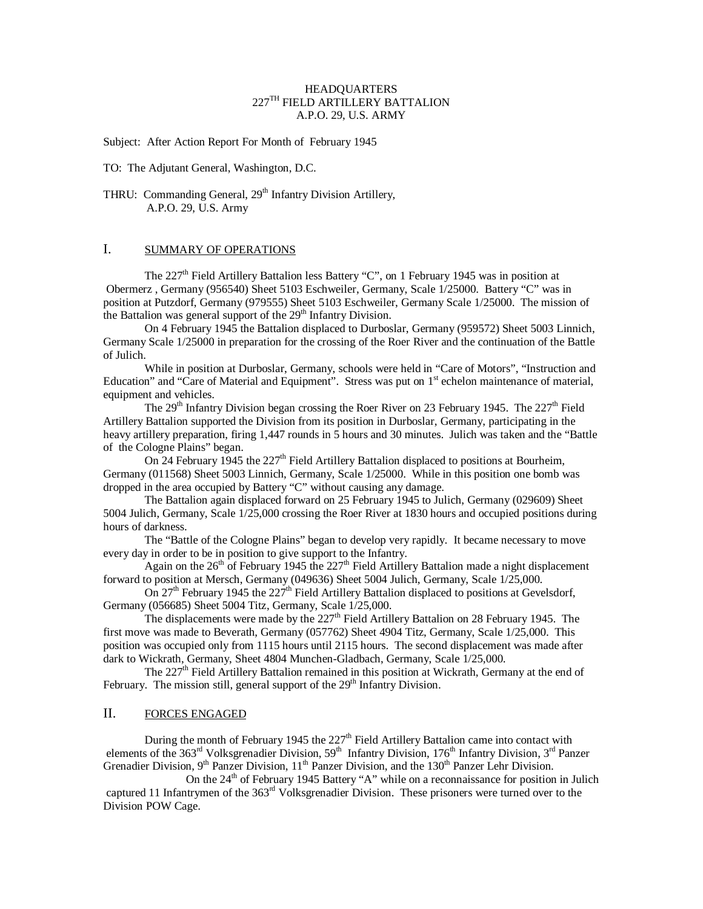#### **HEADQUARTERS** 227TH FIELD ARTILLERY BATTALION A.P.O. 29, U.S. ARMY

Subject: After Action Report For Month of February 1945

TO: The Adjutant General, Washington, D.C.

THRU: Commanding General, 29<sup>th</sup> Infantry Division Artillery, A.P.O. 29, U.S. Army

# I. SUMMARY OF OPERATIONS

The  $227<sup>th</sup>$  Field Artillery Battalion less Battery "C", on 1 February 1945 was in position at Obermerz , Germany (956540) Sheet 5103 Eschweiler, Germany, Scale 1/25000. Battery "C" was in position at Putzdorf, Germany (979555) Sheet 5103 Eschweiler, Germany Scale 1/25000. The mission of the Battalion was general support of the 29<sup>th</sup> Infantry Division.

On 4 February 1945 the Battalion displaced to Durboslar, Germany (959572) Sheet 5003 Linnich, Germany Scale 1/25000 in preparation for the crossing of the Roer River and the continuation of the Battle of Julich.

While in position at Durboslar, Germany, schools were held in "Care of Motors", "Instruction and Education" and "Care of Material and Equipment". Stress was put on 1<sup>st</sup> echelon maintenance of material, equipment and vehicles.

The  $29<sup>th</sup>$  Infantry Division began crossing the Roer River on 23 February 1945. The  $227<sup>th</sup>$  Field Artillery Battalion supported the Division from its position in Durboslar, Germany, participating in the heavy artillery preparation, firing 1,447 rounds in 5 hours and 30 minutes. Julich was taken and the "Battle of the Cologne Plains" began.

On 24 February 1945 the 227<sup>th</sup> Field Artillery Battalion displaced to positions at Bourheim, Germany (011568) Sheet 5003 Linnich, Germany, Scale 1/25000. While in this position one bomb was dropped in the area occupied by Battery "C" without causing any damage.

The Battalion again displaced forward on 25 February 1945 to Julich, Germany (029609) Sheet 5004 Julich, Germany, Scale 1/25,000 crossing the Roer River at 1830 hours and occupied positions during hours of darkness.

The "Battle of the Cologne Plains" began to develop very rapidly. It became necessary to move every day in order to be in position to give support to the Infantry.

Again on the  $26<sup>th</sup>$  of February 1945 the 227<sup>th</sup> Field Artillery Battalion made a night displacement forward to position at Mersch, Germany (049636) Sheet 5004 Julich, Germany, Scale 1/25,000.

On  $27<sup>th</sup>$  February 1945 the  $227<sup>th</sup>$  Field Artillery Battalion displaced to positions at Gevelsdorf, Germany (056685) Sheet 5004 Titz, Germany, Scale 1/25,000.

The displacements were made by the 227<sup>th</sup> Field Artillery Battalion on 28 February 1945. The first move was made to Beverath, Germany (057762) Sheet 4904 Titz, Germany, Scale 1/25,000. This position was occupied only from 1115 hours until 2115 hours. The second displacement was made after dark to Wickrath, Germany, Sheet 4804 Munchen-Gladbach, Germany, Scale 1/25,000.

The  $227<sup>th</sup>$  Field Artillery Battalion remained in this position at Wickrath, Germany at the end of February. The mission still, general support of the  $29<sup>th</sup>$  Infantry Division.

#### II. FORCES ENGAGED

During the month of February 1945 the 227<sup>th</sup> Field Artillery Battalion came into contact with elements of the 363<sup>rd</sup> Volksgrenadier Division, 59<sup>th</sup> Infantry Division, 176<sup>th</sup> Infantry Division, 3<sup>rd</sup> Panzer Grenadier Division,  $9^{th}$  Panzer Division,  $11^{th}$  Panzer Division, and the  $130^{th}$  Panzer Lehr Division.

On the  $24<sup>th</sup>$  of February 1945 Battery "A" while on a reconnaissance for position in Julich captured 11 Infantrymen of the  $363<sup>rd</sup>$  Volksgrenadier Division. These prisoners were turned over to the Division POW Cage.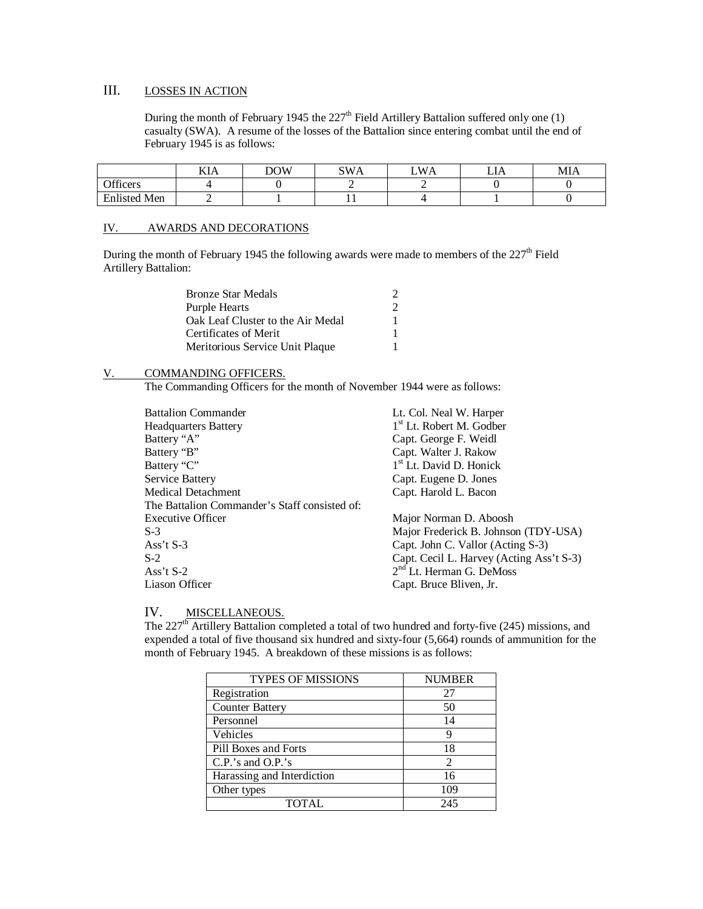# III. LOSSES IN ACTION

During the month of February 1945 the  $227<sup>th</sup>$  Field Artillery Battalion suffered only one (1) casualty (SWA). A resume of the losses of the Battalion since entering combat until the end of February 1945 is as follows:

|                     | <b>TTT</b><br>KIA | DOW | SWA | W/<br>$^{\prime}$ A | LIA | MIA |
|---------------------|-------------------|-----|-----|---------------------|-----|-----|
| Officers            |                   |     |     |                     |     |     |
| <b>Enlisted Men</b> | -                 |     | . . |                     |     |     |

#### IV. AWARDS AND DECORATIONS

During the month of February 1945 the following awards were made to members of the 227<sup>th</sup> Field Artillery Battalion:

| <b>Bronze Star Medals</b>         | 2 |
|-----------------------------------|---|
| Purple Hearts                     | 2 |
| Oak Leaf Cluster to the Air Medal | 1 |
| Certificates of Merit             | 1 |
| Meritorious Service Unit Plaque   |   |

# V. COMMANDING OFFICERS.

The Commanding Officers for the month of November 1944 were as follows:

| <b>Battalion Commander</b>                    | Lt. Col. Neal W. Harper                  |
|-----------------------------------------------|------------------------------------------|
| <b>Headquarters Battery</b>                   | 1 <sup>st</sup> Lt. Robert M. Godber     |
| Battery "A"                                   | Capt. George F. Weidl                    |
| Battery "B"                                   | Capt. Walter J. Rakow                    |
| Battery "C"                                   | 1 <sup>st</sup> Lt. David D. Honick      |
| Service Battery                               | Capt. Eugene D. Jones                    |
| Medical Detachment                            | Capt. Harold L. Bacon                    |
| The Battalion Commander's Staff consisted of: |                                          |
| <b>Executive Officer</b>                      | Major Norman D. Aboosh                   |
| $S-3$                                         | Major Frederick B. Johnson (TDY-USA)     |
| Ass't $S-3$                                   | Capt. John C. Vallor (Acting S-3)        |
| $S-2$                                         | Capt. Cecil L. Harvey (Acting Ass't S-3) |
| Ass't $S-2$                                   | $2nd$ Lt. Herman G. DeMoss               |
| Liason Officer                                | Capt. Bruce Bliven, Jr.                  |
|                                               |                                          |

# IV. MISCELLANEOUS.

The 227<sup>th</sup> Artillery Battalion completed a total of two hundred and forty-five (245) missions, and expended a total of five thousand six hundred and sixty-four (5,664) rounds of ammunition for the month of February 1945. A breakdown of these missions is as follows:

| <b>TYPES OF MISSIONS</b>   | <b>NUMBER</b>               |
|----------------------------|-----------------------------|
| Registration               | 27                          |
| <b>Counter Battery</b>     | 50                          |
| Personnel                  | 14                          |
| Vehicles                   |                             |
| Pill Boxes and Forts       | 18                          |
| $C.P.'s$ and $O.P.'s$      | $\mathcal{D}_{\mathcal{L}}$ |
| Harassing and Interdiction | 16                          |
| Other types                | 109                         |
| <b>TOTAL</b>               | 245                         |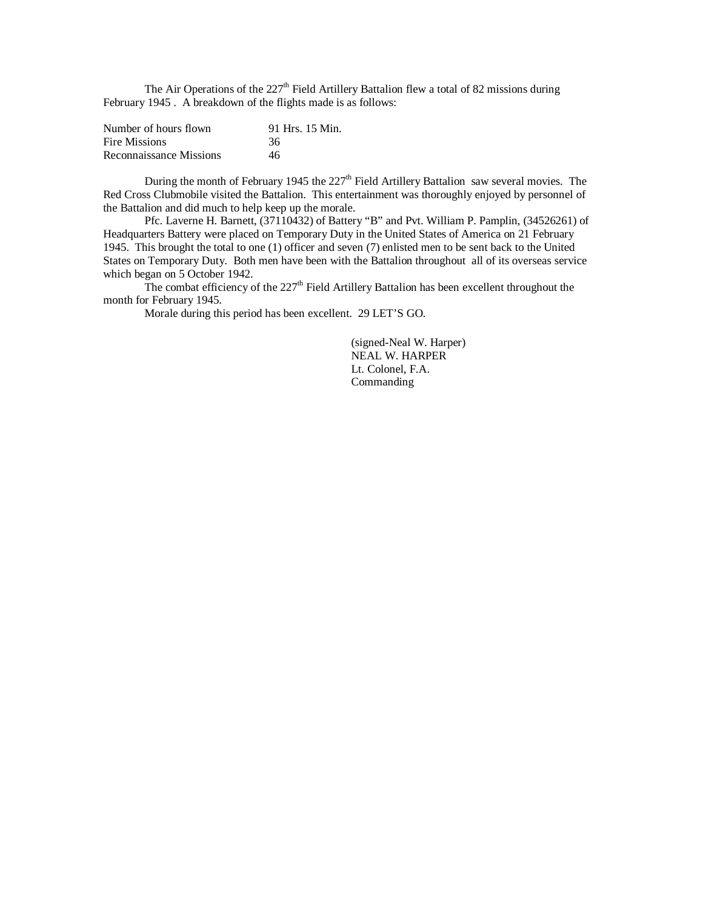The Air Operations of the  $227<sup>th</sup>$  Field Artillery Battalion flew a total of 82 missions during February 1945 . A breakdown of the flights made is as follows:

| Number of hours flown   | 91 Hrs. 15 Min. |
|-------------------------|-----------------|
| Fire Missions           | 36              |
| Reconnaissance Missions | 46              |

During the month of February 1945 the  $227<sup>th</sup>$  Field Artillery Battalion saw several movies. The Red Cross Clubmobile visited the Battalion. This entertainment was thoroughly enjoyed by personnel of the Battalion and did much to help keep up the morale.

Pfc. Laverne H. Barnett, (37110432) of Battery "B" and Pvt. William P. Pamplin, (34526261) of Headquarters Battery were placed on Temporary Duty in the United States of America on 21 February 1945. This brought the total to one (1) officer and seven (7) enlisted men to be sent back to the United States on Temporary Duty. Both men have been with the Battalion throughout all of its overseas service which began on 5 October 1942.

The combat efficiency of the  $227<sup>th</sup>$  Field Artillery Battalion has been excellent throughout the month for February 1945.

Morale during this period has been excellent. 29 LET'S GO.

(signed-Neal W. Harper) NEAL W. HARPER Lt. Colonel, F.A. Commanding